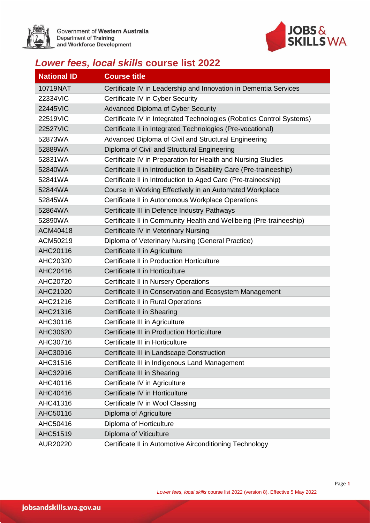

Government of Western Australia<br>Department of Training and Workforce Development



## *Lower fees, local skills* **course list 2022**

| <b>National ID</b> | <b>Course title</b>                                                  |
|--------------------|----------------------------------------------------------------------|
| 10719NAT           | Certificate IV in Leadership and Innovation in Dementia Services     |
| 22334VIC           | Certificate IV in Cyber Security                                     |
| <b>22445VIC</b>    | Advanced Diploma of Cyber Security                                   |
| 22519VIC           | Certificate IV in Integrated Technologies (Robotics Control Systems) |
| <b>22527VIC</b>    | Certificate II in Integrated Technologies (Pre-vocational)           |
| 52873WA            | Advanced Diploma of Civil and Structural Engineering                 |
| 52889WA            | Diploma of Civil and Structural Engineering                          |
| 52831WA            | Certificate IV in Preparation for Health and Nursing Studies         |
| 52840WA            | Certificate II in Introduction to Disability Care (Pre-traineeship)  |
| 52841WA            | Certificate II in Introduction to Aged Care (Pre-traineeship)        |
| 52844WA            | Course in Working Effectively in an Automated Workplace              |
| 52845WA            | Certificate II in Autonomous Workplace Operations                    |
| 52864WA            | Certificate III in Defence Industry Pathways                         |
| 52890WA            | Certificate II in Community Health and Wellbeing (Pre-traineeship)   |
| ACM40418           | Certificate IV in Veterinary Nursing                                 |
| ACM50219           | Diploma of Veterinary Nursing (General Practice)                     |
| AHC20116           | Certificate II in Agriculture                                        |
| AHC20320           | Certificate II in Production Horticulture                            |
| AHC20416           | Certificate II in Horticulture                                       |
| AHC20720           | Certificate II in Nursery Operations                                 |
| AHC21020           | Certificate II in Conservation and Ecosystem Management              |
| AHC21216           | Certificate II in Rural Operations                                   |
| AHC21316           | Certificate II in Shearing                                           |
| AHC30116           | Certificate III in Agriculture                                       |
| AHC30620           | Certificate III in Production Horticulture                           |
| AHC30716           | Certificate III in Horticulture                                      |
| AHC30916           | Certificate III in Landscape Construction                            |
| AHC31516           | Certificate III in Indigenous Land Management                        |
| AHC32916           | Certificate III in Shearing                                          |
| AHC40116           | Certificate IV in Agriculture                                        |
| AHC40416           | Certificate IV in Horticulture                                       |
| AHC41316           | Certificate IV in Wool Classing                                      |
| AHC50116           | Diploma of Agriculture                                               |
| AHC50416           | Diploma of Horticulture                                              |
| AHC51519           | Diploma of Viticulture                                               |
| AUR20220           | Certificate II in Automotive Airconditioning Technology              |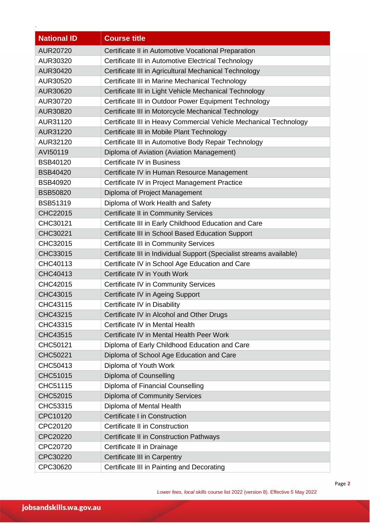| <b>National ID</b> | <b>Course title</b>                                                  |
|--------------------|----------------------------------------------------------------------|
| <b>AUR20720</b>    | Certificate II in Automotive Vocational Preparation                  |
| AUR30320           | Certificate III in Automotive Electrical Technology                  |
| AUR30420           | Certificate III in Agricultural Mechanical Technology                |
| AUR30520           | Certificate III in Marine Mechanical Technology                      |
| AUR30620           | Certificate III in Light Vehicle Mechanical Technology               |
| AUR30720           | Certificate III in Outdoor Power Equipment Technology                |
| AUR30820           | Certificate III in Motorcycle Mechanical Technology                  |
| AUR31120           | Certificate III in Heavy Commercial Vehicle Mechanical Technology    |
| AUR31220           | Certificate III in Mobile Plant Technology                           |
| AUR32120           | Certificate III in Automotive Body Repair Technology                 |
| AVI50119           | Diploma of Aviation (Aviation Management)                            |
| <b>BSB40120</b>    | Certificate IV in Business                                           |
| <b>BSB40420</b>    | Certificate IV in Human Resource Management                          |
| <b>BSB40920</b>    | Certificate IV in Project Management Practice                        |
| <b>BSB50820</b>    | Diploma of Project Management                                        |
| <b>BSB51319</b>    | Diploma of Work Health and Safety                                    |
| CHC22015           | <b>Certificate II in Community Services</b>                          |
| CHC30121           | Certificate III in Early Childhood Education and Care                |
| CHC30221           | Certificate III in School Based Education Support                    |
| CHC32015           | <b>Certificate III in Community Services</b>                         |
| CHC33015           | Certificate III in Individual Support (Specialist streams available) |
| CHC40113           | Certificate IV in School Age Education and Care                      |
| CHC40413           | Certificate IV in Youth Work                                         |
| CHC42015           | <b>Certificate IV in Community Services</b>                          |
| CHC43015           | Certificate IV in Ageing Support                                     |
| CHC43115           | Certificate IV in Disability                                         |
| CHC43215           | Certificate IV in Alcohol and Other Drugs                            |
| CHC43315           | Certificate IV in Mental Health                                      |
| CHC43515           | Certificate IV in Mental Health Peer Work                            |
| CHC50121           | Diploma of Early Childhood Education and Care                        |
| CHC50221           | Diploma of School Age Education and Care                             |
| CHC50413           | Diploma of Youth Work                                                |
| CHC51015           | Diploma of Counselling                                               |
| CHC51115           | Diploma of Financial Counselling                                     |
| CHC52015           | <b>Diploma of Community Services</b>                                 |
| CHC53315           | Diploma of Mental Health                                             |
| CPC10120           | Certificate I in Construction                                        |
| CPC20120           | Certificate II in Construction                                       |
| CPC20220           | Certificate II in Construction Pathways                              |
| CPC20720           | Certificate II in Drainage                                           |
| CPC30220           | Certificate III in Carpentry                                         |
| CPC30620           | Certificate III in Painting and Decorating                           |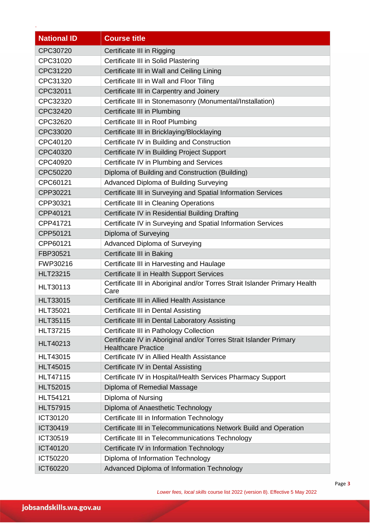| <b>National ID</b> | <b>Course title</b>                                                                              |
|--------------------|--------------------------------------------------------------------------------------------------|
| CPC30720           | Certificate III in Rigging                                                                       |
| CPC31020           | Certificate III in Solid Plastering                                                              |
| CPC31220           | Certificate III in Wall and Ceiling Lining                                                       |
| CPC31320           | Certificate III in Wall and Floor Tiling                                                         |
| CPC32011           | Certificate III in Carpentry and Joinery                                                         |
| CPC32320           | Certificate III in Stonemasonry (Monumental/Installation)                                        |
| CPC32420           | Certificate III in Plumbing                                                                      |
| CPC32620           | Certificate III in Roof Plumbing                                                                 |
| CPC33020           | Certificate III in Bricklaying/Blocklaying                                                       |
| CPC40120           | Certificate IV in Building and Construction                                                      |
| CPC40320           | Certificate IV in Building Project Support                                                       |
| CPC40920           | Certificate IV in Plumbing and Services                                                          |
| CPC50220           | Diploma of Building and Construction (Building)                                                  |
| CPC60121           | Advanced Diploma of Building Surveying                                                           |
| CPP30221           | Certificate III in Surveying and Spatial Information Services                                    |
| CPP30321           | <b>Certificate III in Cleaning Operations</b>                                                    |
| CPP40121           | Certificate IV in Residential Building Drafting                                                  |
| CPP41721           | Certificate IV in Surveying and Spatial Information Services                                     |
| CPP50121           | Diploma of Surveying                                                                             |
| CPP60121           | Advanced Diploma of Surveying                                                                    |
| FBP30521           | Certificate III in Baking                                                                        |
| FWP30216           | Certificate III in Harvesting and Haulage                                                        |
| <b>HLT23215</b>    | Certificate II in Health Support Services                                                        |
| HLT30113           | Certificate III in Aboriginal and/or Torres Strait Islander Primary Health<br>Care               |
| <b>HLT33015</b>    | Certificate III in Allied Health Assistance                                                      |
| <b>HLT35021</b>    | Certificate III in Dental Assisting                                                              |
| <b>HLT35115</b>    | Certificate III in Dental Laboratory Assisting                                                   |
| <b>HLT37215</b>    | Certificate III in Pathology Collection                                                          |
| HLT40213           | Certificate IV in Aboriginal and/or Torres Strait Islander Primary<br><b>Healthcare Practice</b> |
| <b>HLT43015</b>    | Certificate IV in Allied Health Assistance                                                       |
| <b>HLT45015</b>    | Certificate IV in Dental Assisting                                                               |
| <b>HLT47115</b>    | Certificate IV in Hospital/Health Services Pharmacy Support                                      |
| <b>HLT52015</b>    | Diploma of Remedial Massage                                                                      |
| <b>HLT54121</b>    | Diploma of Nursing                                                                               |
| <b>HLT57915</b>    | Diploma of Anaesthetic Technology                                                                |
| ICT30120           | Certificate III in Information Technology                                                        |
| ICT30419           | Certificate III in Telecommunications Network Build and Operation                                |
| ICT30519           | Certificate III in Telecommunications Technology                                                 |
| ICT40120           | Certificate IV in Information Technology                                                         |
| ICT50220           | Diploma of Information Technology                                                                |
| ICT60220           | Advanced Diploma of Information Technology                                                       |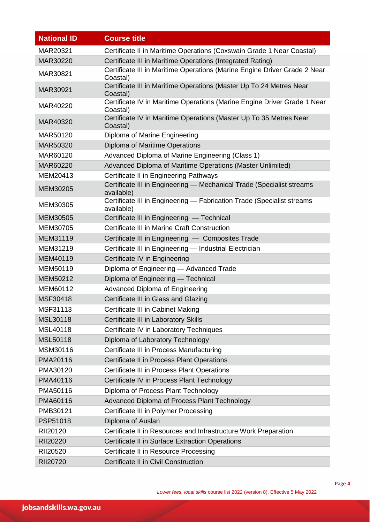| <b>National ID</b> | <b>Course title</b>                                                                   |
|--------------------|---------------------------------------------------------------------------------------|
| MAR20321           | Certificate II in Maritime Operations (Coxswain Grade 1 Near Coastal)                 |
| MAR30220           | Certificate III in Maritime Operations (Integrated Rating)                            |
| MAR30821           | Certificate III in Maritime Operations (Marine Engine Driver Grade 2 Near<br>Coastal) |
| MAR30921           | Certificate III in Maritime Operations (Master Up To 24 Metres Near<br>Coastal)       |
| MAR40220           | Certificate IV in Maritime Operations (Marine Engine Driver Grade 1 Near<br>Coastal)  |
| MAR40320           | Certificate IV in Maritime Operations (Master Up To 35 Metres Near<br>Coastal)        |
| MAR50120           | Diploma of Marine Engineering                                                         |
| MAR50320           | Diploma of Maritime Operations                                                        |
| MAR60120           | Advanced Diploma of Marine Engineering (Class 1)                                      |
| MAR60220           | Advanced Diploma of Maritime Operations (Master Unlimited)                            |
| MEM20413           | Certificate II in Engineering Pathways                                                |
| MEM30205           | Certificate III in Engineering - Mechanical Trade (Specialist streams<br>available)   |
| MEM30305           | Certificate III in Engineering - Fabrication Trade (Specialist streams<br>available)  |
| MEM30505           | Certificate III in Engineering - Technical                                            |
| MEM30705           | Certificate III in Marine Craft Construction                                          |
| MEM31119           | Certificate III in Engineering - Composites Trade                                     |
| MEM31219           | Certificate III in Engineering - Industrial Electrician                               |
| MEM40119           | Certificate IV in Engineering                                                         |
| MEM50119           | Diploma of Engineering - Advanced Trade                                               |
| MEM50212           | Diploma of Engineering - Technical                                                    |
| MEM60112           | <b>Advanced Diploma of Engineering</b>                                                |
| MSF30418           | Certificate III in Glass and Glazing                                                  |
| MSF31113           | Certificate III in Cabinet Making                                                     |
| MSL30118           | Certificate III in Laboratory Skills                                                  |
| MSL40118           | Certificate IV in Laboratory Techniques                                               |
| MSL50118           | Diploma of Laboratory Technology                                                      |
| MSM30116           | Certificate III in Process Manufacturing                                              |
| PMA20116           | Certificate II in Process Plant Operations                                            |
| PMA30120           | Certificate III in Process Plant Operations                                           |
| PMA40116           | Certificate IV in Process Plant Technology                                            |
| PMA50116           | Diploma of Process Plant Technology                                                   |
| PMA60116           | Advanced Diploma of Process Plant Technology                                          |
| PMB30121           | Certificate III in Polymer Processing                                                 |
| PSP51018           | Diploma of Auslan                                                                     |
| RII20120           | Certificate II in Resources and Infrastructure Work Preparation                       |
| RII20220           | Certificate II in Surface Extraction Operations                                       |
| RII20520           | Certificate II in Resource Processing                                                 |
| RII20720           | Certificate II in Civil Construction                                                  |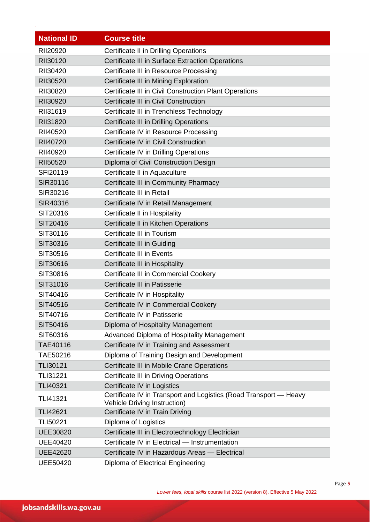| <b>National ID</b> | <b>Course title</b>                                                                               |
|--------------------|---------------------------------------------------------------------------------------------------|
| RII20920           | <b>Certificate II in Drilling Operations</b>                                                      |
| RII30120           | Certificate III in Surface Extraction Operations                                                  |
| RII30420           | Certificate III in Resource Processing                                                            |
| RII30520           | Certificate III in Mining Exploration                                                             |
| RII30820           | Certificate III in Civil Construction Plant Operations                                            |
| RII30920           | Certificate III in Civil Construction                                                             |
| RII31619           | Certificate III in Trenchless Technology                                                          |
| RII31820           | Certificate III in Drilling Operations                                                            |
| RII40520           | Certificate IV in Resource Processing                                                             |
| RII40720           | Certificate IV in Civil Construction                                                              |
| RII40920           | Certificate IV in Drilling Operations                                                             |
| RII50520           | Diploma of Civil Construction Design                                                              |
| SFI20119           | Certificate II in Aquaculture                                                                     |
| SIR30116           | Certificate III in Community Pharmacy                                                             |
| SIR30216           | <b>Certificate III in Retail</b>                                                                  |
| SIR40316           | Certificate IV in Retail Management                                                               |
| SIT20316           | Certificate II in Hospitality                                                                     |
| SIT20416           | Certificate II in Kitchen Operations                                                              |
| SIT30116           | <b>Certificate III in Tourism</b>                                                                 |
| SIT30316           | <b>Certificate III in Guiding</b>                                                                 |
| SIT30516           | <b>Certificate III in Events</b>                                                                  |
| SIT30616           | Certificate III in Hospitality                                                                    |
| SIT30816           | Certificate III in Commercial Cookery                                                             |
| SIT31016           | Certificate III in Patisserie                                                                     |
| SIT40416           | Certificate IV in Hospitality                                                                     |
| SIT40516           | Certificate IV in Commercial Cookery                                                              |
| SIT40716           | Certificate IV in Patisserie                                                                      |
| SIT50416           | Diploma of Hospitality Management                                                                 |
| SIT60316           | Advanced Diploma of Hospitality Management                                                        |
| TAE40116           | Certificate IV in Training and Assessment                                                         |
| TAE50216           | Diploma of Training Design and Development                                                        |
| <b>TLI30121</b>    | Certificate III in Mobile Crane Operations                                                        |
| <b>TLI31221</b>    | <b>Certificate III in Driving Operations</b>                                                      |
| TLI40321           | Certificate IV in Logistics                                                                       |
| TLI41321           | Certificate IV in Transport and Logistics (Road Transport - Heavy<br>Vehicle Driving Instruction) |
| <b>TLI42621</b>    | Certificate IV in Train Driving                                                                   |
| <b>TLI50221</b>    | Diploma of Logistics                                                                              |
| <b>UEE30820</b>    | Certificate III in Electrotechnology Electrician                                                  |
| <b>UEE40420</b>    | Certificate IV in Electrical - Instrumentation                                                    |
| <b>UEE42620</b>    | Certificate IV in Hazardous Areas - Electrical                                                    |
| <b>UEE50420</b>    | Diploma of Electrical Engineering                                                                 |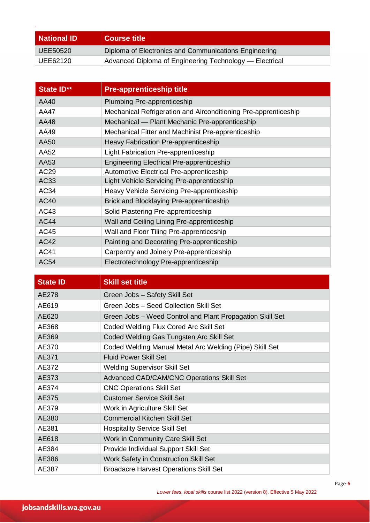| <b>National ID</b> | <b>Course title</b>                                     |
|--------------------|---------------------------------------------------------|
| UEE50520           | Diploma of Electronics and Communications Engineering   |
| UEE62120           | Advanced Diploma of Engineering Technology — Electrical |

| State ID**  | <b>Pre-apprenticeship title</b>                                 |
|-------------|-----------------------------------------------------------------|
| AA40        | Plumbing Pre-apprenticeship                                     |
| AA47        | Mechanical Refrigeration and Airconditioning Pre-apprenticeship |
| AA48        | Mechanical — Plant Mechanic Pre-apprenticeship                  |
| AA49        | Mechanical Fitter and Machinist Pre-apprenticeship              |
| AA50        | Heavy Fabrication Pre-apprenticeship                            |
| AA52        | Light Fabrication Pre-apprenticeship                            |
| AA53        | <b>Engineering Electrical Pre-apprenticeship</b>                |
| AC29        | <b>Automotive Electrical Pre-apprenticeship</b>                 |
| AC33        | Light Vehicle Servicing Pre-apprenticeship                      |
| AC34        | Heavy Vehicle Servicing Pre-apprenticeship                      |
| <b>AC40</b> | Brick and Blocklaying Pre-apprenticeship                        |
| AC43        | Solid Plastering Pre-apprenticeship                             |
| <b>AC44</b> | Wall and Ceiling Lining Pre-apprenticeship                      |
| AC45        | Wall and Floor Tiling Pre-apprenticeship                        |
| <b>AC42</b> | Painting and Decorating Pre-apprenticeship                      |
| <b>AC41</b> | Carpentry and Joinery Pre-apprenticeship                        |
| <b>AC54</b> | Electrotechnology Pre-apprenticeship                            |

| <b>State ID</b> | <b>Skill set title</b>                                    |
|-----------------|-----------------------------------------------------------|
| AE278           | Green Jobs - Safety Skill Set                             |
| AE619           | Green Jobs - Seed Collection Skill Set                    |
| AE620           | Green Jobs - Weed Control and Plant Propagation Skill Set |
| AE368           | Coded Welding Flux Cored Arc Skill Set                    |
| AE369           | Coded Welding Gas Tungsten Arc Skill Set                  |
| AE370           | Coded Welding Manual Metal Arc Welding (Pipe) Skill Set   |
| AE371           | <b>Fluid Power Skill Set</b>                              |
| AE372           | <b>Welding Supervisor Skill Set</b>                       |
| AE373           | Advanced CAD/CAM/CNC Operations Skill Set                 |
| AE374           | <b>CNC Operations Skill Set</b>                           |
| AE375           | <b>Customer Service Skill Set</b>                         |
| AE379           | Work in Agriculture Skill Set                             |
| AE380           | <b>Commercial Kitchen Skill Set</b>                       |
| AE381           | <b>Hospitality Service Skill Set</b>                      |
| AE618           | Work in Community Care Skill Set                          |
| AE384           | Provide Individual Support Skill Set                      |
| AE386           | Work Safety in Construction Skill Set                     |
| AE387           | <b>Broadacre Harvest Operations Skill Set</b>             |